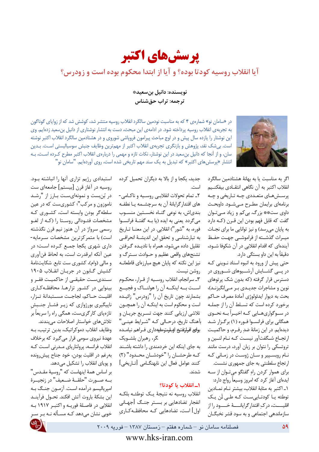

آیا انقلاب روسیه کودتا بوده؟ و آیا از ابتدا محکوم بوده است و زودرس؟

نویسنده: دانیل بنسعید\* ترجمه: تراب حقشناس



در «سامان نو» شمارهی ۴ که به مناسبت نودمین سالگرد انقلاب روسیه منتشر شد، کوشش شد که از زوایای گوناگون به تجربهی انقلاب روسیه پرداخته شود. در ادامهی این مبحث، دست به انتشار نوشتاری از دانیل بن سعید زدهایم. وی این نوشتار را یازده سال پیش و در اوج مباحث پیرامون فروپاشی شوروی و در هشتادمین سالگرد انقلاب اکتبر نوشته است. بیشک نقد، پژوهش و بازنگری تجربهی انقلاب اکتبر از مهمترین وظایف جنبش سوسیالیستی است. بـدین سان، و از آنجا که دانیل بن سعید در این نوشتار، نکات تازه و مهمی را دربارهی انقلاب اکتبر مطرح کـرده اسـت، بـه انتشار «پرسشهای اکتبر» که تبدیل به یک سند مهم تاریخی شده است، روی آوردهایم. "سامان نو"

> اگر به مناسبت یا به بهانهٔ هشتادمین سالگرد انقلاب اكتبر به آن نگاهي انتقـادي بيفكنـيم پرسشهای متعددی چـه تـاریخی و چـه برنامهای برایمان مطـرح مــی شــود. داوبحـث داوي ست\*\* بزرگ بي كم و زياد ميتوان گفت که قابل فهم بودن این قـرن (کـه دارد به پایان میرسد) و نیز توانایی ما برای نجـات میـراث گذشــته از فراموشــی جهـت حفـظ آیندهای که اقدام انقلابی در آن شکوفا شــود، دقیقاً به این داو بستگی دارد.

> حتی پیش از ورود به انبوه اسناد نـوینی کـه در پسی گشسایش آرشسیوهای شسوروی در دسترس قرار گرفته (که بدون شک پرتوهای نوین و مشاجرات جدیدی بر میانگیزند)، بحث به ديوار ايدئولوژي آمادۀ مصرف حــاكم برخورد كرده است كه تسلط آن را از جملـه در ســوگواریهــایی کــه اخیــراً بــه نحــوی همگانی برای فرانسـوا فـوره (۱) برگـزار شـد ديدهايم. در اين زمانهٔ ضد رفـرم، و حاكميـت ارتجـاع شـگفتآور نيسـت كـه نـام لنـين و تروتسکی را نتوان بر زبان آورد، درست مانند نام روبسپیر و سان ژوست در زمانی که ارتجاع سلطنتی به جای جمهوری نشست. برای هموار کردن راهِ گفتگو میتوان از سه ایدهای آغاز کرد که امروز وسیعاً رواج دارد: ١ـ اكتبر به مثابة انقلاب، بيشتر نام نمـادين توطئه يا كودتايىست كـه طـى لَن يـك اقلیــــت، درکِ اقتدار گرایانـــــهٔ خــــود را از سازماندهی اجتماعی و به سود قشر نخبگـان

جدید، یکجا و از بالا به دیگران تحمیل کرده است.

۲\_ تمام تحولات انقلابـي روسـيه و ناكـامي-های اقتدار گرایانهٔ آن به سرچشــمه یــا نطفــه بندیاش، به نوعی گنـاه نخسـتین منسـوب مي گردد يعني به ايده (يا بـه گفتـهٔ فرانسـوا فوره، به "شور") انقلابي. در اين معنــا تــاريخ به تبارشناسی و تحقق این اندیشهٔ انحرافی تقلیل داده میشود، همراه با نادیـده گـرفتن تشنجهای واقعی عظیم و حــوادث ســترگ و نیز این نکته که پایان هیچ مبارزهای قاطعانـه روشن نيست.

٣ـ سرانجام، انقلاب روسـيه از قـرار، محكـوم است به اینکه آن را هولنساک و فجیع بشمارند چون تاریخ آن را "زودرس" زائیـده است و محکوم است به اینکـه آن را همچـون تلاشی ارزیابی کنند جهت تسریع جریان و بآهنگ تاریخ، درحـالی کـه "شـرایط عینـی" بولى افرارتفتيع اوبلرستوملييهداري فراهم نيامده گر، رهبران بلشـویک

به جای اینکه این خردمندی را داشته باشـند کـه طرحشـان را "خودشـان محـدود" (۲) كنند عوامل فعال اين نابهنگــامي [تــاريخي] شدند.

## 1ـ انقلاب يا كودتا؟

انقلاب روسيه نه نتيجة يك توطئـه بلكـه انفجار تضادهایی بر بسـتر جنـگ [جهـانی اول] است، تضادهایی کـه محافظـهکـاری

استبدادی رژیم تزاری آنها را انباشته بود. روسیه در آغاز قرن [بیستم] جامعهای ست در بُنبست و نمونهایست بـارز از "رشـد ناموزون و مرکب"؛ کشوریست که در عین سلطه گر بودن وابسته است، کشوری کـه مشخصات فئــودالى ,وســتا ,ا (كــه از لغــو رسمی سرواژ در آن هنوز نیم قرن نگذشته است) با متمرکزترین مشخصات سـرمایه-داری شهری یکجا جمع کرده است؛ در عين آنكه ابرقدرت است، به لحاظ فنآوري و مالی (وام)، کشوری ست تابع. شکایتنامهٔ کشیش گـابون در جريـان انقـلاب ۱۹۰۵ سـندیسـت حقیقـی از حاکمیـت فقـر و بینوایی در کشور تزارها. محافظه کاری اقليت حـاكم، لجاجـت مسـتبدانهٔ تـزار، ناپیگیری بورژوازی که زیر فشار جنبش تازهپای کارگریست، همگی راه را سریعاً بر تلاش های خواستار اصلاحات میبندند.

وظايف انقلاب دموكراتيك، بدين ترتيب، بـه عهدهٔ نیروی سومی قرار می گیرد که برخلاف انقلاب فرانسه، پرولتاریای مـدرنی اسـت کـه بهرغم در اقليت بودن، خود جناح پيشرونده و پویای انقلاب را تشکیل میدهد.

بر اساس همهٔ اینهاست که "روسیهٔ مقـدس" بــه صــورت "حلقــهٔ ضــعيف" در زنجيــرهٔ اميرياليسم درآمده است. آزمـون جنـگ بـه اين بشكة باروت آتش افكند. تحــول فرآينــد انقلابي در فاصلهٔ فوريـه و اکتبـر ١٩١٧ بـه خوبی نشان میدهد کـه مسـأله نـه بـر سـر

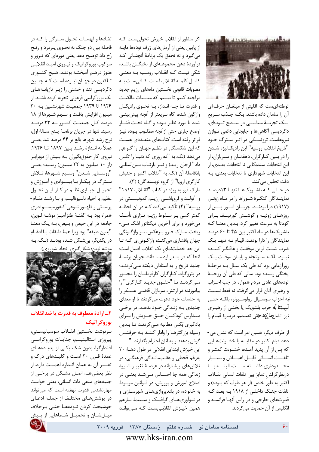

توطئهایست که اقلیتی از مبلغــان حرفــهای آن را سامان داده باشند، بلكـه جـذب سـريع يــک تجربــهٔ سياســى در ســطح تــودهاى، دگردیسی آگاهیها و جابجایی دائمی تـوازن نیروهاست. تروتسکی در اثـر سـترگ خـود "تاريخ انقلاب روسيه" اين راديكـاليزه شـدن را در بين كـارگران، دهقانــان و ســربازان، از این انتخابات سندیکایی تا انتخابات بعـدی، از این انتخابات شهرداری تا انتخابات بعدی، بـه دقت تحليل مي كند.

در حـالى كـه بلشـويكهـا تنهـا ١٣درصـد نماینـدگان کنگـرهٔ شـوراها را در مـاه ژوئـن (١٩١٧) دارا بودند، جريسان امور پيس از روزهـای ژوئیـه و کوشــش کورنیلـف بـرای كودتا به سرعت تغيير كرد. بـدين معنــا كــه بلشویکها در ماه اکتبر بین ۴۵ تا ۶۰ درصد نمایندگان را دارا بودنـد. قیـام نـه تنهـا یـک ضرب شست قرين موفقيت و غافلگير كننــده نبود، بلكـه سـرانجام و پايـان موقـت يـك زورآزمایی بود که طی یک سال بـه مرحلـهٔ پختگی رسیده بود، سالی که طی آن روحیـهٔ تودههای عادی مردم همواره در چپ احـزاب و رهبري آنان قرار مي گرفت، نه فقط نسـبت نبه احزاب سوسـيال رولوسـيونر، بلكـه حتـى آسبلاتا لّه حزب بلشويك يا بخشى از رهبـرى نيز شاملجلمكشكة تصميم دربارة قيام را

از طرف دیگر، همین امر است که نشان می-دهد قیام اکتبر در مقایسه با خشـونتهـایی كه پس از آن يديد آمـده، خشـونت كمتـر و تلفــات انســانى قابــل اغمــاض وبســيار محــدودترى داشــته اســت، البتــه بــا درنظر گرفتن تمايز بين تلفات انساني انقللاب اکتبر به طور خاص (از هر طرف که بــوده) و تلفات جنگ داخلی از ۱۹۱۸ بـه بعـد کـه قدرتهای خارجی و در راس آنهـا فرانسـه و انگلیس از آن حمایت میکردند.

اگر منظور از انقلاب خیزش تحولی ست کـه از پایین یعنی از آرمانهای ژرف تودهها مایـه میگیرد و نه تحقق یک برنامهٔ آنچنـانی کـه فرآوردهٔ ذهن مجموعـهای از نخبگــان باشــد، شکی نیست کـه انقـلاب روسـیه بـه معنـی كامل كلمـه انقـلاب اسـت. كـافىسـت بـه مصوبات قانونى نخستين ماههاى رژيم جديد مراجعه كنيم تا ببينيم كه مناسبات مالكيت و قدرت تـا چـه انـدازه بـه نحـوى راديكـال واژگون شده، گاه سریعتر از آنچه پیش بینبی شده یا مورد نظـر بـوده و گـاه تحـت فشـار اوضاع جاري حتى ازآنچه مطلـوب بـوده نيـز فراتر رفته است. كتابهای متعددی هست که این شکستگی در نظـم جهـان را گـواهی می دهد (نک. به "ده روزی که دنیـا را تکـان داد" ازجان ريـد) و نيـز بازتـاب بـينالمللـى بلافاصلهٔ آن (نک. به "انقلاب اکتبر و جنبش کارگري اروپا" از گروه نويسندگان) (٣).

مارک فرو به ویژه در کتاب "انقـلاب ۱۹۱۷" و "تولــد و فروياشــي رژيــم كمونيســتي در روسيه" (۴) تأكيد ميكند كـه در آن لحظـه كمتر كسى بىر سىقوط رژيىم تىزارى تأسىف میخورد و برای آخرین دیکتاتور اشک مے-ريخت. مـارک فـرو بـرعکس، بـر واژگـونگى جهان پافشاری می کند، واژگونیای که تا این حد خصلتنمای یک انقلاب اصیل است: آنجا که در بنـدر اودسـا، دانشـجویان برنامـهٔ جدید تاریخ را به استادان دیکته مے کردنـد؛ در پتروگراد، كـارگران كارفرمايـان را مجبـور می کردند تا "حقوق جدید کارگری" را بیاموزند؛ در ارتش، سربازان قاضبی عسکر را به جلسات خود دعوت می کردند تا او معنای جدیدی بـه زنـدگی خـود بدهـد. در برخـی مـدارس كودكــان حــق خــويش را بــراى یادگیری بُکس مطالبه مےکردنـد تـا بـدین وسیله بزر گترهـا را وادار کننـد بـه حرفشـان

گوش بدهند و به آنان احترام بگذارند...". این خیزش ابتدایی انقلابی در طول دهـهٔ ۲۰ بەرغم قحطى و عقبمانىدگى فرهنگىي، در تلاشهای پیشتازانه در عرصهٔ تغییـر شـیوهٔ زندگی همه جا احسـاس مـیشـد یعنـی در اصلاح آموزش ويرورش، در قـوانين مربـوط به خانواده، در بلندپروازیهـای شهرسـازی و در نوآوریهای گرافیک و سینما. بازهم همین خیـزش انقلابـی سـت کـه مـی توانـد

تضادها و ابهامـات تحـول سـترگى را كـه در فاصله بین دو جنگ به نحـوی پـردرد و رنـج رُخ داد توضیح دهد یعنی دورهای که تـرور و سر کوب بورو کراتیک و نیـروی امیـد انقلابـی هنوز درهــم آميختــه بودنــد. هــيچ كشــوري تاکنون در جهان نبوده است که چنین دگردیسی تند و خشنی را زیر تازیانههای یک بوروکراسی فرعونی تجربه کرده باشـد. از ۱۹۲۶ تا ۱۹۳۹ جمعیت شهرنشـین بـه ۳۰ میلیون افزایش یافت و سهم شـهرها از ۱۸ درصد کل جمعیت کشور بـه ۳۳ درصد رسيد. تنها در جريان برنامـهٔ پـنج سـالهٔ اول، نرخ رشد شهرها بالغ بر ۴۴ درصد شد يعنـي عملاً به انــدازهٔ رشــد بــین ۱۸۹۷ تــا ۱۹۲۶. نیروی کار حقوق بگیران بـه بـیش از دوبرابـر (از ١٠ ميليون به ٢٢ ميليون) رسـيد؛ يعنـي ",وسـتايي شـدن" وسـيع شـهرها، تـلاش سـترگ در پيکـار بـا بيسـوادي و آمـوزش و تحميـل اجبـاري نظـم در كـار. ايـن تحـول عظیم با احیاء ناسیونالیسم و بـا رشـد مقـام-پرستی و ظهـور نـوعی کنفورمیسـم اداری همراه بود. بـه گفتـهٔ طنزآمیـز موشـه لـوین، جامعه در این حیص و بیص، بـه یـک معنـا "بدون طبقه" بود زيرا همهٔ طبقات بـا ادغـام در یکدیگر، بیشکل شده بودند (نک. به



٢\_ارادة معطوف به قدرت يا ضدانقلاب بوروكراتيك

سرنوشت نخستين انقـلاب سوسياليسـتى، پیروزی استالینیسم، جنایات بوروکراسی اقتدارگرا، بدون شک یکے از پدیـدههـای عمدهٔ قـرن ۲۰ اسـت و کلیـدهای درک و تفسیر آن به همان انـدازه اهمیـت دارد. از نظر بعضیها، اصل مشکل در برخی از جنبههای منفی ذات انسانی، یعنی خواست مهارنشدنی قدرت نهفته است که می تواند در پوششهای مختلف از جملـه ادعـای خوشبخت كردن تـودههـا حتـى بـرخلاف میــلشــان و تحمیــل شِــماهایی از پــیش

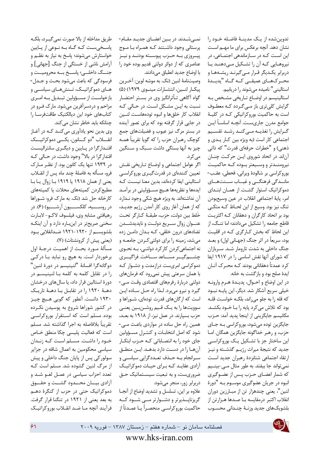تدوين شده از يـک مدينـهٔ فاضـله خـود را نشان دهد. آنچه برعکس برای ما مهـم اسـت این اسـت کـه در سـازماندهی اجتمـاعی، در نیروهـایی کـه آن را تشـکیل مـی۵هنـد یـا دربرابر یک یگر قـرار مـیگیرنـد ریشـههـا و محـركهـاي عميقــى كــه كــاه "پديــدة استالینی" نامیده میشوند را دریابیم.

استالینیسم در اوضـاع تـاریخی مشـخص بـه گرایش کلیتری باز مے گردد که معطوف است به حاکمیت بوروکراتیکی کـه در کلیـهٔ جوامع مدرن جاريست. آنچـه اساســاً ايــن گرایش را تغذیـه مــیکنــد رشــد تقســیم اجتماعي كار است (به ويژه بين كـار يـدى و ذهني) و "خطرات حرفهاي قدرت" كه ذاتي آناند. در اتحاد شوروی ایـن حرکـت چنـان نيرومنـدتر و وسـيعتر بــوده كــه حاكميـت بوروكراسي بر شالودهٔ ويراني، قحطي، عقـب-مانــدگی فرهنگــی و غیــاب ســنتهــای دموکراتیک استوار گشت. از همان ابتدای امر، ياية اجتماعي انقلاب در عين وسيعبودن تنگ نیز بود. وسیع از این لحـاظ کـه متکـی بود بر اتحاد کارگران و دهقانان کـه اکثریـت قاطع جامعه را تشکیل میدادند؛ اما تنـگ، از این لحاظ که بخش کـارگری کـه در اقلیـت بود، سریعاً در اثر جنگ (جهـانی اول) و بعــد جنگ داخلی به شدت تارومار شد. سربازان که شورای آنها نقش اساسی را در ۱۹۱۷ ایفا کرد عمدتاً دهقانانی بودند کـه محـرک آنــان ایدهٔ صلح بود و بازگشت به خانه.

در اين اوضاع و احــوال، پديــدۀ هــرم وارونــه خیلی سریع آشکار شد. دیگر، این پایـه نبـود كه قله را به جلو مى راند، بلكـه خواسـت قلـه بود که تلاش میکرد پایه را با خود بکشد. مكانيسم جايگزيني از اينجا پديد آمد: حـزب جایگزین توده میشود، بوروکراسی بـه جـای حزب، و رهبر خداگونه جایگزین همگان. امـا این ساختار جز با تشکیل یک بوروکراسی جدید که نتیجهٔ میراث رژیـم گذشـته و نیـز ارتقاء اجتماعى شتابزدة رهبران جديد است نمي تواند جا بيفتد. به طور مثال مـي-بينــيم كه شمار اعضـاي حـزب يـس از عضـوگيري انبوه در جريان عضوگيري موسـوم بـه "دورهٔ لنين"، يعني چندهزار تن از مبـارزين دوران انقلاب اكتبر درمقايسه با صـدها هـزارتن از بلشويكهاى جديد وزنـهٔ چنـدانى محسـوب

نمے شـدند. در بـین اعضـای جدیـد مقـام-پرستانی وجود داشتند کـه همـراه بـا مـوج ييـروزي بــه حــزب پيوســته بودنــد و نيــز عناصری که از دوائر دولتی قدیم بوده خود را با اوضاع جديد انطباق مي دادند.

وصيتنامهٔ لنين (نک. به موشه لوين: آخرين پیکار لنـین، انتشـارات مینـوی ١٩٧٩) (۵) گواه آگاهی تـأثرانگیز وی در بســتر احتضـار نسبت به ایـن مشـکل اسـت. در حـالی کـه انقلاب كار خلقها و انبوه تودههاست لنسين در جایی قرار گرفته بود که برای تصور آینده در بستر مرگ نیز عیوب و فضیلتهای جمع کوچک رهبران حزب را که گویا تقریباً همـه چیز به آنها بستگی داشت سبک و سنگین مے کر د.

اگر عوامل اجتماعي و اوضاع تاريخي نقش تعیین کنندهای در قدرت گیـری بوروکراســی استالینی ایفا کردهاند، بدین معنا نیست کـه ایدهها و نظریهها هـیچ مسـؤولیتی در برآمـد آن نداشتهاند. به ویژه هیچ شکی وجود نـدارد كه از همان آغاز روى كار آمدن رژيم جديـد، خَلط بين دولت، حزب، طبقـهٔ كـارگر تحـت عنوان زوال سوريع دولت وناپديدشدن تضادهای درون خلقی، کـه بـدان دامـن زده میشد، زمینه را برای دولتی کردن جامعه و نه اجتماعی کردن کار کرد دولتـی، بـه نحـوی چشـــم5يــــر مســــاعد ســــاخت. فراگيــــرى دموکراسی امریست درازمدت و دشـوار کـه با همان سرعتي پيش نمي رود كه فرمانهاي دولتی دربارهٔ رفرمهای اقتصادی وقت مے-گیرد و نیرو میبرد. لـذا راه حـل سـاده ایـن است که ارگانهای قدرت تودهای، شـوراها و سوويتها را به يك قيم روشـنبين يعنـى حزب بسپارند. در عمل نیز، از ۱۹۱۸ به بعـد، همین راه حل ساده در مواردی باعث مے-شود که اصل انتخابات و کنتـرل مسـؤولين جای خود را به انتصـاباتی کـه حـزب ابتکـار آنها را در دست دارد بدهـد. ايـن منطـق سـرانجام بـه حـذف تعـددگرايي سياسـي و آزادی عقایـد کـه بـرای حیـات دموکراتیـک ضروریست، و به تبعیت سیستماتیک حـق دربرابر زور، منجر میشود.

علاوه بر این، تسلسل و تشدید اوضاع از آنجا گریزناپلذیرتر و دشلوارتر ملی شلود کله حاكميت بوروكراسـي منحصـراً يـا عمـدتاً از

طريق مداخله از بالا صورت نمي گيــرد، بلكــه یاسخی ست که گاه به نوعی از پایین خواستارش می شوند؛ پاسخ به نیاز به نظـم و آرامش ناشی از خستگی از جنگ [جهانی] و جنگ داخليئ پاسخ به محروميت و فرسودگی که باعث میشود بحث و جـدل-های دموکراتیک، تـنشهـای سیاسـی و بازخواسـت از مســؤولين تبــديل بــه امــرى مزاحم و دردسرآفرین می شود. مارک فـرو در كتابهاي خود اين ديالكتيك طاقتفرسا را چنانکه باید خاطر نشان می کند.

وي بدين نحو يادآوري مي كنـد كـه در أغـاز انقــــلاب "دو كـــانون، يكــــى دموكراتيـــك اقتدارگرا در پایین و دیگری سانترالیست اقتدار گرا در بالا" وجود داشت، در حـالی کـه در ۱۹۳۹ تنها یک کانون بود. از نظـر مـارک فرو، مسأله به فاصلهٔ چند ماه پس از انقــلاب یعنی از همان ۱۹۱۸ یا ۱۹۱۹ بـا زوال یـا بـا مطیع کردن کمیتههای محلات یا کمیتههای کارخانه حل شد (نک. به مارک فرو: شوراها در روســــيه، كلكســــيون آرشــــيو) (۶). در رهيافتي مشابه وي، فيلسوف لاكـو-لابـارت سخنی صریحتر در اینباره دارد و آن اینکـه بلشویســم از ۱۹۲۰–۱۹۲۱ ضــدانقلابی بــود (یعنی پیش از کرونشتات) (۷).

مسألهٔ مـورد بحـث از اهميـت درجـهٔ اول برخوردار است. به هیچ رو نباید بـا در کـی دوگانهگرا افسانهٔ "لنينيسم در دورهٔ لنين" را در تقابل کلمه به کلمه با لنینیسم در دورهٔ استالین قرار داد، یا سال های درخشان دهـهٔ ۱۹۲۰ را در تقابـل بـا دهـهٔ تاریـک ۱۹۳۰ دانست. آنطور که گویی هـیچ چیـز در کشور شوراها شروع به پوسیدن نکـرده بوده. مسلم است که استقرار بوروکراسی تقريباً بلافاصله به اجرا گذاشته شد. مسلم است که فعالیت پلیسی چکا منطق خـاص خـود را داشـت. مسـلم اسـت كـه زنـدان سیاسی محکومین به اعمال شاقه در جزایر سولور کی پس از پایان جنگ داخلی و پیش از مرگ لنین گشوده شد. مسلم است کـه تعدد احزاب سیاسی در عمـل لغـو شـد و آزادی بیــان محــدود گشــت و حقــوق دموکراتیک حتی در حزب از کنگرهٔ دهـم به بعد یعنی از ۱۹۲۱ در تنگنا قرار گرفت. فرأيند أنجه مـا ضـد انقــلاب بوروكراتيـك

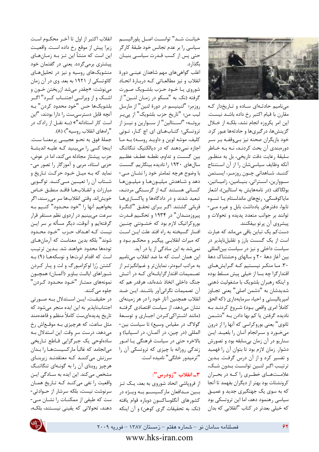

می نامیم حادثهای ساده و تاریخدار که مقارن با قيام اكتبر رخ داده باشـد نيسـت. این امر یکروزه انجام نشد، بلکـه از خـلال گزینشها، در گیریها و حادثهها عبور کرد. خود بازیگران صحنه نیز بے،وقفـه بـر سـر دورهبندی آن بحث کردنـد، نـه بـه خـاطر سليقهٔ رعايت دقت تاريخي، بل به منظـور آنكه وظايف سياسي شان را از آن استنتاج كننــد. شــاهداني چــون روزمــر، ايســتمن سووارین، استراتی، بنیامین، زامیاتین، بولگاکف (در نامههایش به استالین)، اشعار مایاکوفسکی، رنجهای ماندلستام یا تسوه تایوا، دفترهای یادداشت بابل و غیره مے-توانند بر جوانب متعدد پدیده و تحولات و پیشروی آن پرتو بیفکنند.

دست کم یک تباین باقی میماند که عبارت است از یک گسست بارز و تقلیلناپذیر در سیاست داخلی و نیز در سیاست بینالمللی بین آغاز دههٔ ۲۰ و سالهای وحشتناک دههٔ ۳۰. ما منکر نیستیم که گرایشهای اقتدارگرا چه بسا از خیلی پیش مسلط بوده و اینکه رهبران بلشویک با مشغولیت ذهنی شديدشان به "دشمن اصلي" يعني تجـاوز اميرياليستي و احياء سرمايهداري (كه الحق كاملاً امرى واقعى بــود) شــروع كردنــد بــه نادیده گرفتن یا کم بها دادن بـه "دشـمن ثانوي" يعني بوروكراسي كه آنها را از درون میخورد و سرانجام آنان را بلعید. این سناریو در آن زمان بیسابقه بود و تصورش دشوار. زمان لازم بود تا بتوان آن را فهميد و تفسیر کرد و از آن درس گرفت. بدین ترتيب اگـر لنـين توانسـت بـدون شـك، علامــتهـاي خطـري را كــه در بحـران كرونشتات بود بهتر از ديگران بفهمد تا آنجا که به سوی یک جهتگیری جدید و عمیـق سیاسی رهنمود دهد، اما این تروتسکی بود كه خيلي بعدتر در كتاب "انقلابي كه بدان

خيانـت شـد" توانسـت اصـل يلوراليسـم سیاسی را بر عدم تجانس خود طبقهٔ کارگر حتی پس از کسب قـدرت سیاسـی بنیـان ىگذا, د.

اغلب گواهی های مهم شاهدان عینـی دورهٔ انقلاب ونيز مطالعاتي كه دربارة اتحاد شوروي يـا خــود حــزب بلشــويک صــورت گرفته (نک. به "مسکو در زمـان لنـين" از روزمر؛ "لنينيسم در دورة لنين" از مارسل ليب من؛ "تاريخ حزب بلشويک" از پي\_ر بروئه؛ "استالين" از سوارين و نيز از تروتسكي؛ كتـابهـاي اي. اچ كـار، تـونى كليف، موشه لوين و داويـد روسـه) بـه مـا اجازه نمی دهند که در دیالکتیک تنگاتنگ بين گسست و تداوم، نقطـه عطـف عظـيم سال های ۱۹۳۰ را نادیده بینگاریم. گسست با وضوح هرچه تمامتر خود را نشـان مـى-دهد و شـاهدش ميليـونهـا و ميليـونهـا کسانی هستند که از گرسنگی مردند، تبعید شدند و در دادگاهها و پاکسازیها قربانی گشتند. اگـر بـرای تحقـق "كنگـرهٔ پيروزمنــدان" در ۱۹۳۴ و تحکــيم قــدرت بوروکراتیک لازم بود که خشـونتی چنـین افسار گسیخته به راه افتد علت ایـن اسـت که میراث انقلابی پیگیـر و محکـم بـود و نمیشد به این سادگی از پا در آید.

این همان است که ما ضد انقلاب مینامیم به مراتب انبوهتر، نمایان تر و غــمانگیز تــر از تصـمیمات اقتدار گرایانـهای کـه در آتـش جنگ داخلی اتخاذ شدهاند، هرقدر هم که آن تصمیمات نگرانی آور باشـند. ایـن ضـد انقلاب همچنین آثار خود را در هر زمینهای نشان میدهد، از سیاست اقتصادی گرفتـه (مانند اشتراكى كردن اجبارى وتوسعة گولاگ در مقیاس وسیع) تا سیاست بین-المللي (در چين، در آلمــان، در اســيانيا) و بالاخره حتى در سياست فرهنگى يـا امـور زندگی روزانه با چیزی که تروتسکی آن را "ترميدور خانگى" ناميده است.

# 3- انقلاب "زودرس":

از فروپاشی اتحاد شوروی به بعد، یک تـز بين مـدافعان ماركسيســم بــه ويــژه در كشورهاى آنگلوساكسون دوباره قوام يافته (نک. به تحقیقات گری کوهن) و آن اینکه

انقلاب اكتبر از اول تا آخـر محكــوم اسـت زيرا پيش از موقع رخ داده است. واقعيت این است که منشأ این تـز بـه زمـانهـای پیشتری برمیگردد. یعنی در گفتمان خود منشویکهای روسیه و نیز در تحلیلهای کائوتسکی از ۱۹۲۱ به بعد. وی در آن زمان مینوشت: «چقدر میشد ازریختن خـون و اشــک و از ویرانــی اجتنــاب کــرد" اگــر بلشويكـها حس "خود محدود كردن" بـه آنچه قابل دسترسیست را دارا بودند، "این است کار استادانه"» (بـه نقـل از رادک در "راههاي انقلاب روسيه") (٨).

جملهٔ فوق به نحـو عجیبـی پرمعنــا سـت. اینجا کسی را میبینید که علیـه اندیشـهٔ حزب پیشتاز مجادله می کند، اما در عوض، حزبی استاد، مربی و آموزگار را تصور می-نماید که بـه میـل خـود حرکـت تـاریخ و شتاب آن را تعیمین ملی کنمد. توگویی مبارزات وانقلابها فاقد منطق خاص خويش اند. وقتي انقلابها سر مي رسند، اگر بخواهيم آنها را "خود محـدود" كنـيم بـه سرعت می بینیم در اردوی نظم مستقر قرار گرفتهایم و آنوقت، دیگر مسأله بر سر ایـن نيست كـه اهـداف حـزب "خـود محـدود شوند" بلكه بدين معناست كه آرمان هاى تودهها محدود خواهند شد. بـدين ترتيـب است که اقدام ابرتها و نوسکهها (۹) به کشتن رُزا لوکزامبورگ و لت و پار کردن شـوراهاي ايالـت بـاوير (آلمـان) همچــون نمونههای ممتـاز "خـود محـدود کـردن' جلوہ مے کنند.

در حقیقـت، ایــن اســتدلال بــه صــورتی اجتنابناپذیر به این ایده منجر میشود که تاریخ پدیدهایست کاملاً منظم و قاعدهمند مثل ساعت، که هرچیزی بـه موقـع|ش رخ میدهد، درست سر وقت. این استدلال بـه سادهلوحي يک جبرگرايي قـاطع تـاريخي می|نجامد که غالباً مارکسیستهـا را بـدان سرزنش میکننـد کـه معتقدنـد زيربنـای هرچیز روبنای آن را به گونهای تنگاتنگ مشخص می کند. این ایده به سـادگی ایـن واقعیت را نفی می کنـد کـه تـاریخ همـان سرنوشت نیست، بلکه سرشار از حـوادثی-ست که طیفی از ممکنـات را نشـان مـی-دهند، تحولاتی که یقینی نیستند، بلکـه،